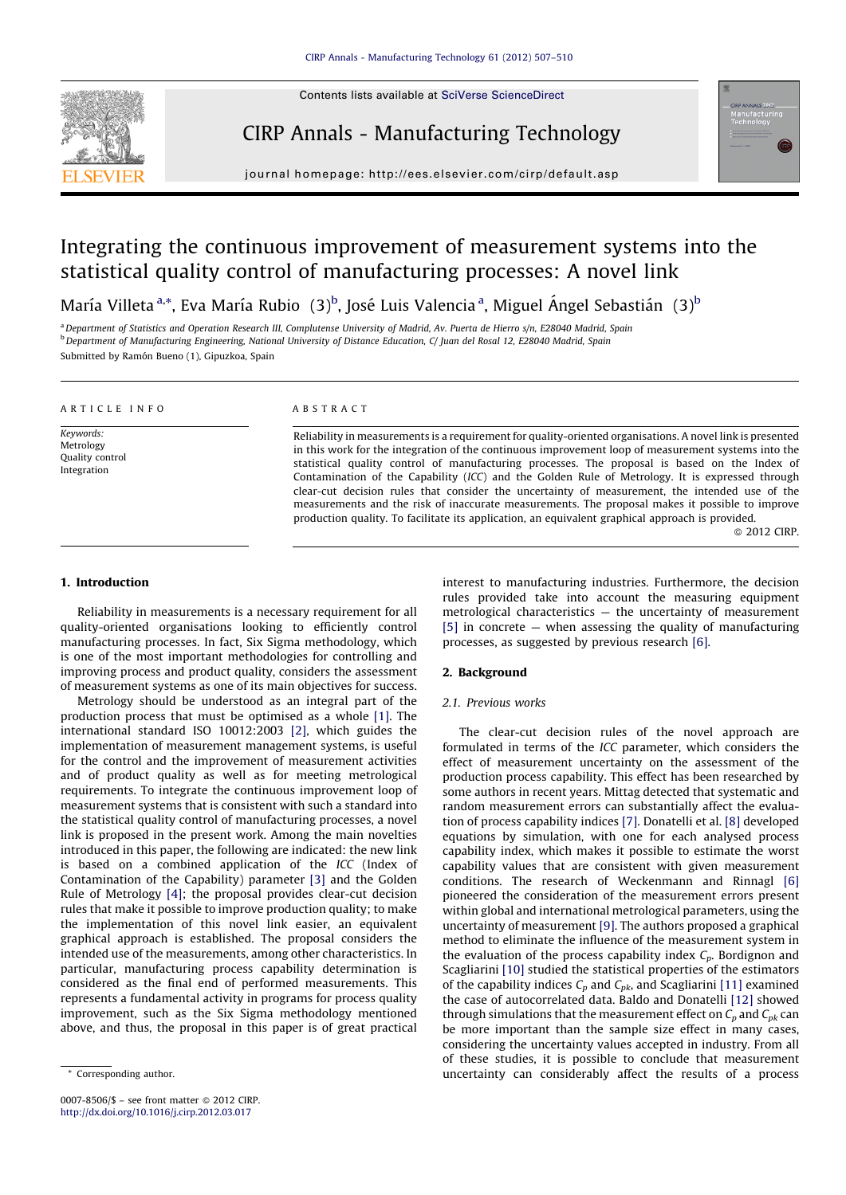Contents lists available at SciVerse [ScienceDirect](http://www.sciencedirect.com/science/journal/00078506)

CIRP Annals - Manufacturing Technology



journal homepage: http://ees.elsevier.com/cirp/default.asp

# Integrating the continuous improvement of measurement systems into the statistical quality control of manufacturing processes: A novel link

María Villeta<sup>a,</sup>\*, Eva María Rubio (3)<sup>b</sup>, José Luis Valencia<sup>a</sup>, Miguel Ángel Sebastián (3)<sup>b</sup>

a Department of Statistics and Operation Research III, Complutense University of Madrid, Av. Puerta de Hierro s/n, E28040 Madrid, Spain b Department of Manufacturing Engineering, National University of Distance Education, C/ Juan del Rosal 12, E28040 Madrid, Spain Submitted by Ramón Bueno (1), Gipuzkoa, Spain

#### A R T I C L E I N F O

Keywords: Metrology Quality control Integration

## A B S T R A C T

Reliability in measurements is a requirement for quality-oriented organisations. A novel link is presented in this work for the integration of the continuous improvement loop of measurement systems into the statistical quality control of manufacturing processes. The proposal is based on the Index of Contamination of the Capability (ICC) and the Golden Rule of Metrology. It is expressed through clear-cut decision rules that consider the uncertainty of measurement, the intended use of the measurements and the risk of inaccurate measurements. The proposal makes it possible to improve production quality. To facilitate its application, an equivalent graphical approach is provided.

© 2012 CIRP.

# 1. Introduction

Reliability in measurements is a necessary requirement for all quality-oriented organisations looking to efficiently control manufacturing processes. In fact, Six Sigma methodology, which is one of the most important methodologies for controlling and improving process and product quality, considers the assessment of measurement systems as one of its main objectives for success.

Metrology should be understood as an integral part of the production process that must be optimised as a whole [\[1\]](#page--1-0). The international standard ISO 10012:2003 [\[2\],](#page--1-0) which guides the implementation of measurement management systems, is useful for the control and the improvement of measurement activities and of product quality as well as for meeting metrological requirements. To integrate the continuous improvement loop of measurement systems that is consistent with such a standard into the statistical quality control of manufacturing processes, a novel link is proposed in the present work. Among the main novelties introduced in this paper, the following are indicated: the new link is based on a combined application of the ICC (Index of Contamination of the Capability) parameter [\[3\]](#page--1-0) and the Golden Rule of Metrology [\[4\]](#page--1-0); the proposal provides clear-cut decision rules that make it possible to improve production quality; to make the implementation of this novel link easier, an equivalent graphical approach is established. The proposal considers the intended use of the measurements, among other characteristics. In particular, manufacturing process capability determination is considered as the final end of performed measurements. This represents a fundamental activity in programs for process quality improvement, such as the Six Sigma methodology mentioned above, and thus, the proposal in this paper is of great practical

interest to manufacturing industries. Furthermore, the decision rules provided take into account the measuring equipment metrological characteristics — the uncertainty of measurement  $[5]$  in concrete – when assessing the quality of manufacturing processes, as suggested by previous research [\[6\]](#page--1-0).

### 2. Background

# 2.1. Previous works

The clear-cut decision rules of the novel approach are formulated in terms of the ICC parameter, which considers the effect of measurement uncertainty on the assessment of the production process capability. This effect has been researched by some authors in recent years. Mittag detected that systematic and random measurement errors can substantially affect the evaluation of process capability indices [\[7\].](#page--1-0) Donatelli et al. [\[8\]](#page--1-0) developed equations by simulation, with one for each analysed process capability index, which makes it possible to estimate the worst capability values that are consistent with given measurement conditions. The research of Weckenmann and Rinnagl [\[6\]](#page--1-0) pioneered the consideration of the measurement errors present within global and international metrological parameters, using the uncertainty of measurement [\[9\].](#page--1-0) The authors proposed a graphical method to eliminate the influence of the measurement system in the evaluation of the process capability index  $C_p$ . Bordignon and Scagliarini [\[10\]](#page--1-0) studied the statistical properties of the estimators of the capability indices  $C_p$  and  $C_{pk}$ , and Scagliarini [\[11\]](#page--1-0) examined the case of autocorrelated data. Baldo and Donatelli [\[12\]](#page--1-0) showed through simulations that the measurement effect on  $C_p$  and  $C_{pk}$  can be more important than the sample size effect in many cases, considering the uncertainty values accepted in industry. From all of these studies, it is possible to conclude that measurement uncertainty can considerably affect the results of a process

<sup>\*</sup> Corresponding author.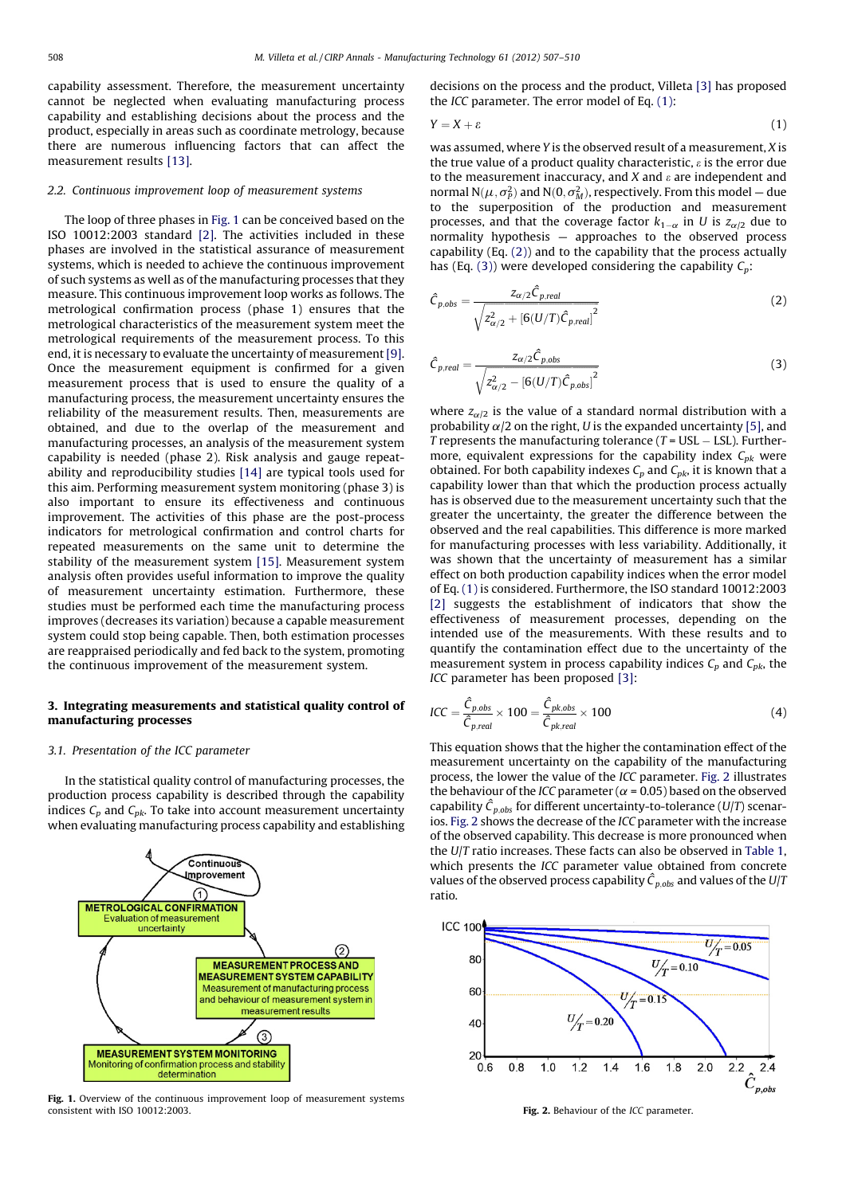capability assessment. Therefore, the measurement uncertainty cannot be neglected when evaluating manufacturing process capability and establishing decisions about the process and the product, especially in areas such as coordinate metrology, because there are numerous influencing factors that can affect the measurement results [\[13\]](#page--1-0).

#### 2.2. Continuous improvement loop of measurement systems

The loop of three phases in Fig. 1 can be conceived based on the ISO 10012:2003 standard [\[2\].](#page--1-0) The activities included in these phases are involved in the statistical assurance of measurement systems, which is needed to achieve the continuous improvement of such systems as well as of the manufacturing processes that they measure. This continuous improvement loop works as follows. The metrological confirmation process (phase 1) ensures that the metrological characteristics of the measurement system meet the metrological requirements of the measurement process. To this end, it is necessary to evaluate the uncertainty of measurement [\[9\].](#page--1-0) Once the measurement equipment is confirmed for a given measurement process that is used to ensure the quality of a manufacturing process, the measurement uncertainty ensures the reliability of the measurement results. Then, measurements are obtained, and due to the overlap of the measurement and manufacturing processes, an analysis of the measurement system capability is needed (phase 2). Risk analysis and gauge repeatability and reproducibility studies [\[14\]](#page--1-0) are typical tools used for this aim. Performing measurement system monitoring (phase 3) is also important to ensure its effectiveness and continuous improvement. The activities of this phase are the post-process indicators for metrological confirmation and control charts for repeated measurements on the same unit to determine the stability of the measurement system [\[15\]](#page--1-0). Measurement system analysis often provides useful information to improve the quality of measurement uncertainty estimation. Furthermore, these studies must be performed each time the manufacturing process improves (decreases its variation) because a capable measurement system could stop being capable. Then, both estimation processes are reappraised periodically and fed back to the system, promoting the continuous improvement of the measurement system.

# 3. Integrating measurements and statistical quality control of manufacturing processes

### 3.1. Presentation of the ICC parameter

In the statistical quality control of manufacturing processes, the production process capability is described through the capability indices  $C_p$  and  $C_{pk}$ . To take into account measurement uncertainty when evaluating manufacturing process capability and establishing



Fig. 1. Overview of the continuous improvement loop of measurement systems consistent with ISO 10012:2003.

decisions on the process and the product, Villeta [\[3\]](#page--1-0) has proposed the ICC parameter. The error model of Eq. (1):

$$
Y = X + \varepsilon \tag{1}
$$

was assumed, where Y is the observed result of a measurement, X is the true value of a product quality characteristic,  $\varepsilon$  is the error due to the measurement inaccuracy, and  $X$  and  $\varepsilon$  are independent and normal N $(\mu, \sigma_p^2)$  and N $(0, \sigma_M^2)$ , respectively. From this model – due to the superposition of the production and measurement processes, and that the coverage factor  $k_{1-\alpha}$  in U is  $z_{\alpha/2}$  due to normality hypothesis — approaches to the observed process capability (Eq. (2)) and to the capability that the process actually has (Eq. (3)) were developed considering the capability  $C_n$ :

$$
\hat{C}_{p,obs} = \frac{z_{\alpha/2} \hat{C}_{p,real}}{\sqrt{z_{\alpha/2}^2 + [6(U/T)\hat{C}_{p,real}]^2}}
$$
(2)

$$
\hat{C}_{p,real} = \frac{z_{\alpha/2} \hat{C}_{p,obs}}{\sqrt{z_{\alpha/2}^2 - [6(U/T)\hat{C}_{p,obs}]^2}}
$$
(3)

where  $z_{\alpha/2}$  is the value of a standard normal distribution with a probability  $\alpha/2$  on the right, U is the expanded uncertainty [\[5\],](#page--1-0) and T represents the manufacturing tolerance (T =  $\text{USL} - \text{LSL}$ ). Furthermore, equivalent expressions for the capability index  $C_{pk}$  were obtained. For both capability indexes  $C_p$  and  $C_{pk}$ , it is known that a capability lower than that which the production process actually has is observed due to the measurement uncertainty such that the greater the uncertainty, the greater the difference between the observed and the real capabilities. This difference is more marked for manufacturing processes with less variability. Additionally, it was shown that the uncertainty of measurement has a similar effect on both production capability indices when the error model of Eq. (1) is considered. Furthermore, the ISO standard 10012:2003 [\[2\]](#page--1-0) suggests the establishment of indicators that show the effectiveness of measurement processes, depending on the intended use of the measurements. With these results and to quantify the contamination effect due to the uncertainty of the measurement system in process capability indices  $C_p$  and  $C_{pk}$ , the ICC parameter has been proposed [\[3\]:](#page--1-0)

$$
ICC = \frac{\hat{C}_{p,obs}}{\hat{C}_{p,real}} \times 100 = \frac{\hat{C}_{pk,obs}}{\hat{C}_{pk,real}} \times 100
$$
\n(4)

This equation shows that the higher the contamination effect of the measurement uncertainty on the capability of the manufacturing process, the lower the value of the ICC parameter. Fig. 2 illustrates the behaviour of the ICC parameter ( $\alpha$  = 0.05) based on the observed capability  $\hat{C}_{p,obs}$  for different uncertainty-to-tolerance (U/T) scenarios. Fig. 2 shows the decrease of the ICC parameter with the increase of the observed capability. This decrease is more pronounced when the U/T ratio increases. These facts can also be observed in [Table](#page--1-0) 1, which presents the ICC parameter value obtained from concrete values of the observed process capability  $\hat{C}_{p,obs}$  and values of the  $U/T$ ratio.



Fig. 2. Behaviour of the ICC parameter.